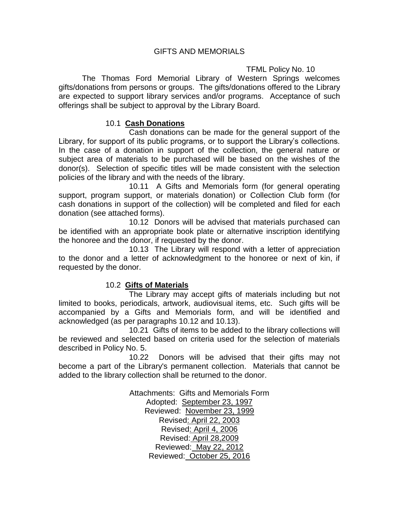### GIFTS AND MEMORIALS

# TFML Policy No. 10

The Thomas Ford Memorial Library of Western Springs welcomes gifts/donations from persons or groups. The gifts/donations offered to the Library are expected to support library services and/or programs. Acceptance of such offerings shall be subject to approval by the Library Board.

#### 10.1 **Cash Donations**

Cash donations can be made for the general support of the Library, for support of its public programs, or to support the Library's collections. In the case of a donation in support of the collection, the general nature or subject area of materials to be purchased will be based on the wishes of the donor(s). Selection of specific titles will be made consistent with the selection policies of the library and with the needs of the library.

10.11 A Gifts and Memorials form (for general operating support, program support, or materials donation) or Collection Club form (for cash donations in support of the collection) will be completed and filed for each donation (see attached forms).

10.12 Donors will be advised that materials purchased can be identified with an appropriate book plate or alternative inscription identifying the honoree and the donor, if requested by the donor.

10.13 The Library will respond with a letter of appreciation to the donor and a letter of acknowledgment to the honoree or next of kin, if requested by the donor.

# 10.2 **Gifts of Materials**

The Library may accept gifts of materials including but not limited to books, periodicals, artwork, audiovisual items, etc. Such gifts will be accompanied by a Gifts and Memorials form, and will be identified and acknowledged (as per paragraphs 10.12 and 10.13).

10.21 Gifts of items to be added to the library collections will be reviewed and selected based on criteria used for the selection of materials described in Policy No. 5.

10.22 Donors will be advised that their gifts may not become a part of the Library's permanent collection. Materials that cannot be added to the library collection shall be returned to the donor.

> Attachments: Gifts and Memorials Form Adopted: September 23, 1997 Reviewed: November 23, 1999 Revised: April 22, 2003 Revised: April 4, 2006 Revised: April 28,2009 Reviewed: May 22, 2012 Reviewed: October 25, 2016